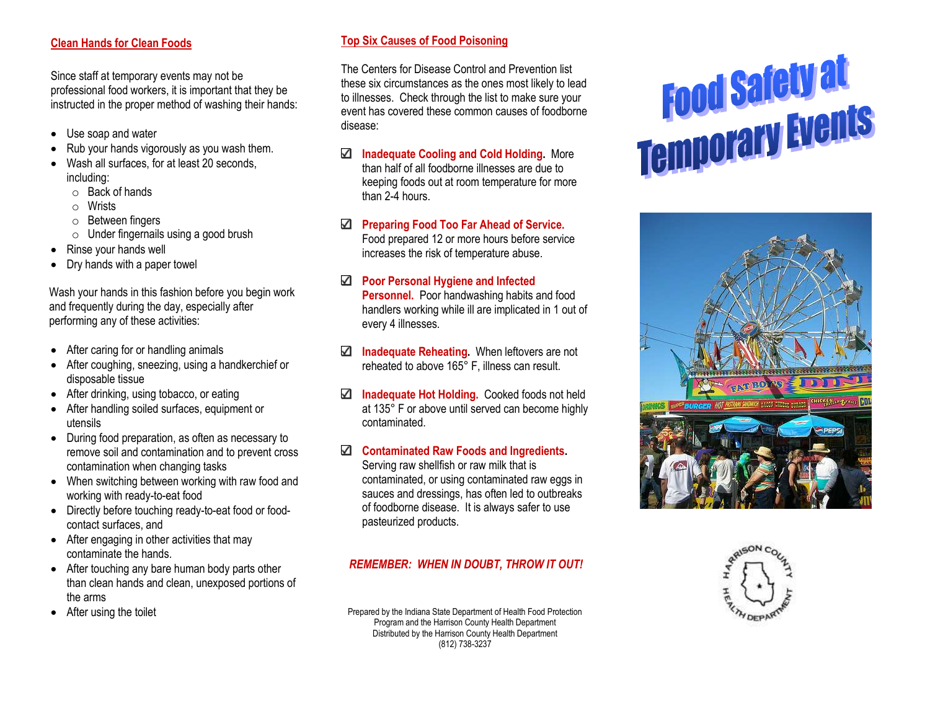#### **Clean Hands for Clean Foods**

Since staff at temporary events may not be professional food workers, it is important that they be instructed in the proper method of washing their hands:

- Use soap and water
- Rub your hands vigorously as you wash them.
- Wash all surfaces, for at least 20 seconds, including:
	- o Back of hands
	- o Wrists
	- o Between fingers
	- o Under fingernails using a good brush
- Rinse your hands well
- Dry hands with a paper towel

Wash your hands in this fashion before you begin work and frequently during the day, especially after performing any of these activities:

- After caring for or handling animals
- After coughing, sneezing, using a handkerchief or disposable tissue
- After drinking, using tobacco, or eating
- After handling soiled surfaces, equipment or utensils
- During food preparation, as often as necessary to remove soil and contamination and to prevent cross contamination when changing tasks
- When switching between working with raw food and working with ready-to-eat food
- Directly before touching ready-to-eat food or foodcontact surfaces, and
- After engaging in other activities that may contaminate the hands.
- After touching any bare human body parts other than clean hands and clean, unexposed portions of the arms
- After using the toilet

## **Top Six Causes of Food Poisoning**

The Centers for Disease Control and Prevention list these six circumstances as the ones most likely to lead to illnesses. Check through the list to make sure your event has covered these common causes of foodborne disease:

- **Inadequate Cooling and Cold Holding.** More than half of all foodborne illnesses are due to keeping foods out at room temperature for more than 2-4 hours.
- **Preparing Food Too Far Ahead of Service.** Food prepared 12 or more hours before service increases the risk of temperature abuse.

# **Poor Personal Hygiene and Infected**

**Personnel.** Poor handwashing habits and food handlers working while ill are implicated in 1 out of every 4 illnesses.

- **Inadequate Reheating.** When leftovers are not reheated to above 165° F, illness can result.
- **Inadequate Hot Holding.** Cooked foods not held at 135° F or above until served can become highly contaminated.
- **Contaminated Raw Foods and Ingredients.**

Serving raw shellfish or raw milk that is contaminated, or using contaminated raw eggs in sauces and dressings, has often led to outbreaks of foodborne disease. It is always safer to use pasteurized products.

## *REMEMBER: WHEN IN DOUBT, THROW IT OUT!*

Prepared by the Indiana State Department of Health Food Protection Program and the Harrison County Health Department Distributed by the Harrison County Health Department (812) 738-3237